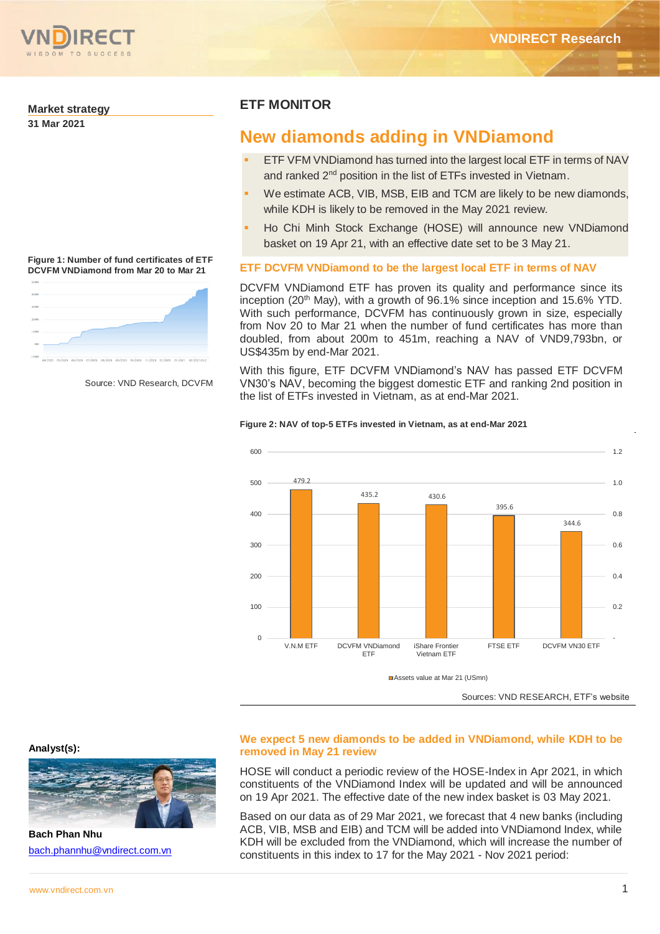

## **Market strategy**

**31 Mar 2021**

#### **Figure 1: Number of fund certificates of ETF DCVFM VNDiamond from Mar 20 to Mar 21**



Source: VND Research, DCVFM

# **ETF MONITOR**

# **New diamonds adding in VNDiamond**

- ETF VFM VNDiamond has turned into the largest local ETF in terms of NAV and ranked 2<sup>nd</sup> position in the list of ETFs invested in Vietnam.
- We estimate ACB, VIB, MSB, EIB and TCM are likely to be new diamonds, while KDH is likely to be removed in the May 2021 review.
- Ho Chi Minh Stock Exchange (HOSE) will announce new VNDiamond basket on 19 Apr 21, with an effective date set to be 3 May 21.

# **ETF DCVFM VNDiamond to be the largest local ETF in terms of NAV**

DCVFM VNDiamond ETF has proven its quality and performance since its inception (20<sup>th</sup> May), with a growth of  $96.1\%$  since inception and 15.6% YTD. With such performance, DCVFM has continuously grown in size, especially from Nov 20 to Mar 21 when the number of fund certificates has more than doubled, from about 200m to 451m, reaching a NAV of VND9,793bn, or US\$435m by end-Mar 2021.

With this figure, ETF DCVFM VNDiamond's NAV has passed ETF DCVFM VN30's NAV, becoming the biggest domestic ETF and ranking 2nd position in the list of ETFs invested in Vietnam, as at end-Mar 2021.

### **Figure 2: NAV of top-5 ETFs invested in Vietnam, as at end-Mar 2021**



# **We expect 5 new diamonds to be added in VNDiamond, while KDH to be removed in May 21 review**

HOSE will conduct a periodic review of the HOSE-Index in Apr 2021, in which constituents of the VNDiamond Index will be updated and will be announced on 19 Apr 2021. The effective date of the new index basket is 03 May 2021.

Based on our data as of 29 Mar 2021, we forecast that 4 new banks (including ACB, VIB, MSB and EIB) and TCM will be added into VNDiamond Index, while KDH will be excluded from the VNDiamond, which will increase the number of constituents in this index to 17 for the May 2021 - Nov 2021 period:

**Analyst(s):**



**Bach Phan Nhu** [bach.phannhu@vndirect.com.vn](mailto:bach.phannhu@vndirect.com.vn)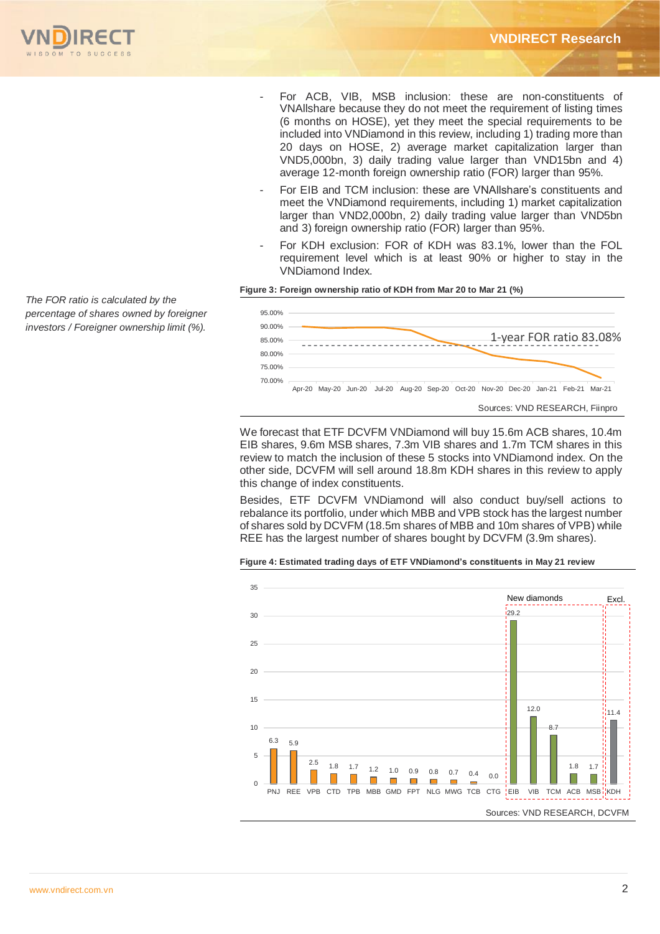

- For ACB, VIB, MSB inclusion: these are non-constituents of VNAllshare because they do not meet the requirement of listing times (6 months on HOSE), yet they meet the special requirements to be included into VNDiamond in this review, including 1) trading more than 20 days on HOSE, 2) average market capitalization larger than VND5,000bn, 3) daily trading value larger than VND15bn and 4) average 12-month foreign ownership ratio (FOR) larger than 95%.
- For EIB and TCM inclusion: these are VNAllshare's constituents and meet the VNDiamond requirements, including 1) market capitalization larger than VND2,000bn, 2) daily trading value larger than VND5bn and 3) foreign ownership ratio (FOR) larger than 95%.
- For KDH exclusion: FOR of KDH was 83.1%, lower than the FOL requirement level which is at least 90% or higher to stay in the VNDiamond Index.

## **Figure 3: Foreign ownership ratio of KDH from Mar 20 to Mar 21 (%)**



We forecast that ETF DCVFM VNDiamond will buy 15.6m ACB shares, 10.4m EIB shares, 9.6m MSB shares, 7.3m VIB shares and 1.7m TCM shares in this review to match the inclusion of these 5 stocks into VNDiamond index. On the other side, DCVFM will sell around 18.8m KDH shares in this review to apply this change of index constituents.

Besides, ETF DCVFM VNDiamond will also conduct buy/sell actions to rebalance its portfolio, under which MBB and VPB stock has the largest number of shares sold by DCVFM (18.5m shares of MBB and 10m shares of VPB) while REE has the largest number of shares bought by DCVFM (3.9m shares).





*The FOR ratio is calculated by the percentage of shares owned by foreigner investors / Foreigner ownership limit (%).*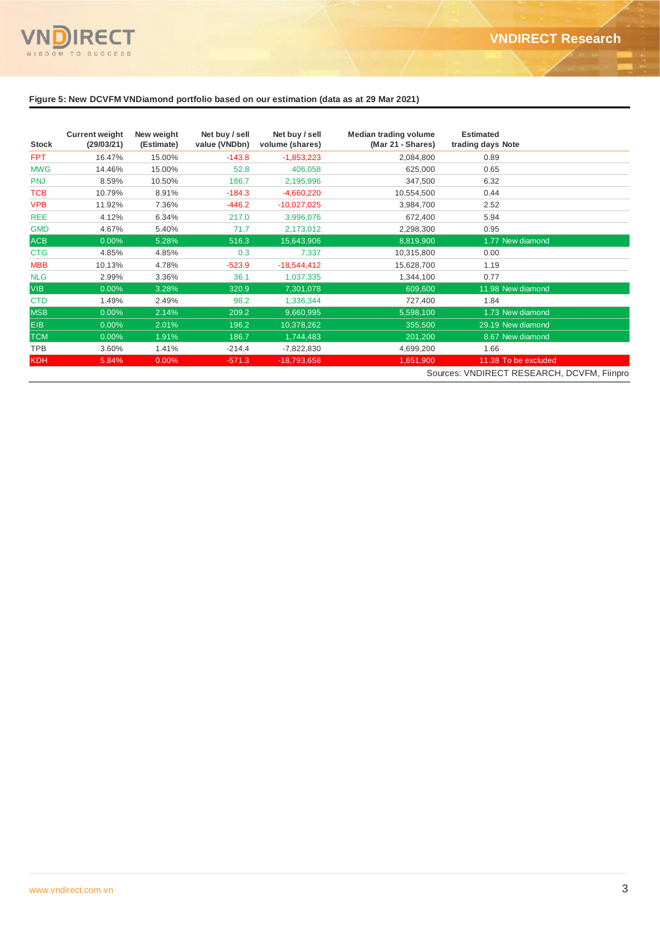

# **Figure 5: New DCVFM VNDiamond portfolio based on our estimation (data as at 29 Mar 2021)**

| <b>Stock</b> | <b>Current weight</b><br>(29/03/21) | New weight<br>(Estimate) | Net buy / sell<br>value (VNDbn) | Net buy / sell<br>volume (shares) | <b>Median trading volume</b><br>(Mar 21 - Shares) | <b>Estimated</b><br>trading days Note |  |
|--------------|-------------------------------------|--------------------------|---------------------------------|-----------------------------------|---------------------------------------------------|---------------------------------------|--|
| FPT          | 16.47%                              | 15.00%                   | $-143.8$                        | $-1,853,223$                      | 2,084,800                                         | 0.89                                  |  |
| <b>MWG</b>   | 14.46%                              | 15.00%                   | 52.8                            | 406,058                           | 625,000                                           | 0.65                                  |  |
| <b>PNJ</b>   | 8.59%                               | 10.50%                   | 186.7                           | 2,195,996                         | 347,500                                           | 6.32                                  |  |
| TCB          | 10.79%                              | 8.91%                    | $-184.3$                        | $-4,660,220$                      | 10,554,500                                        | 0.44                                  |  |
| <b>VPB</b>   | 11.92%                              | 7.36%                    | $-446.2$                        | $-10,027,025$                     | 3,984,700                                         | 2.52                                  |  |
| <b>REE</b>   | 4.12%                               | 6.34%                    | 217.0                           | 3,996,076                         | 672,400                                           | 5.94                                  |  |
| <b>GMD</b>   | 4.67%                               | 5.40%                    | 71.7                            | 2,173,012                         | 2,298,300                                         | 0.95                                  |  |
| <b>ACB</b>   | 0.00%                               | 5.28%                    | 516.3                           | 15,643,906                        | 8,819,900                                         | 1.77 New diamond                      |  |
| <b>CTG</b>   | 4.85%                               | 4.85%                    | 0.3                             | 7,337                             | 10,315,800                                        | 0.00                                  |  |
| <b>MBB</b>   | 10.13%                              | 4.78%                    | $-523.9$                        | $-18,544,412$                     | 15,628,700                                        | 1.19                                  |  |
| <b>NLG</b>   | 2.99%                               | 3.36%                    | 36.1                            | 1,037,335                         | 1,344,100                                         | 0.77                                  |  |
| <b>VIB</b>   | 0.00%                               | 3.28%                    | 320.9                           | 7,301,078                         | 609,600                                           | 11.98 New diamond                     |  |
| <b>CTD</b>   | 1.49%                               | 2.49%                    | 98.2                            | 1,336,344                         | 727,400                                           | 1.84                                  |  |
| <b>MSB</b>   | 0.00%                               | 2.14%                    | 209.2                           | 9,660,995                         | 5,598,100                                         | 1.73 New diamond                      |  |
| <b>EIB</b>   | 0.00%                               | 2.01%                    | 196.2                           | 10,378,262                        | 355,500                                           | 29.19 New diamond                     |  |
| <b>TCM</b>   | 0.00%                               | 1.91%                    | 186.7                           | 1,744,483                         | 201,200                                           | 8.67 New diamond                      |  |
| <b>TPB</b>   | 3.60%                               | 1.41%                    | $-214.4$                        | $-7,822,830$                      | 4,699,200                                         | 1.66                                  |  |
| <b>KDH</b>   | 5.84%                               | 0.00%                    | $-571.3$                        | $-18,793,658$                     | 1,651,900                                         | 11.38 To be excluded                  |  |
|              |                                     |                          |                                 |                                   | Sources: VNDIRECT RESEARCH, DCVFM, Fiinpro        |                                       |  |